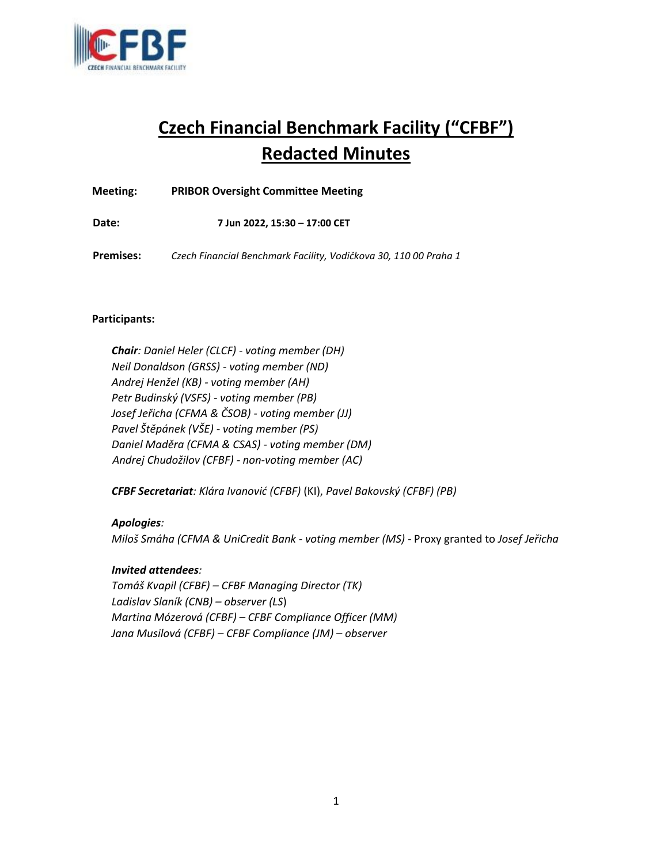

# **Czech Financial Benchmark Facility ("CFBF") Redacted Minutes**

**Meeting: PRIBOR Oversight Committee Meeting** 

**Date: 7 Jun 2022, 15:30 – 17:00 CET**

**Premises:** *Czech Financial Benchmark Facility, Vodičkova 30, 110 00 Praha 1* 

# **Participants:**

*Chair: Daniel Heler (CLCF) - voting member (DH) Neil Donaldson (GRSS) - voting member (ND) Andrej Henžel (KB) - voting member (AH) Petr Budinský (VSFS) - voting member (PB) Josef Jeřicha (CFMA & ČSOB) - voting member (JJ) Pavel Štěpánek (VŠE) - voting member (PS) Daniel Maděra (CFMA & CSAS) - voting member (DM) Andrej Chudožilov (CFBF) - non-voting member (AC)* 

*CFBF Secretariat: Klára Ivanović (CFBF)* (KI), *Pavel Bakovský (CFBF) (PB)* 

*Apologies: Miloš Smáha (CFMA & UniCredit Bank - voting member (MS) -* Proxy granted to *Josef Jeřicha* 

#### *Invited attendees:*

*Tomáš Kvapil (CFBF) – CFBF Managing Director (TK) Ladislav Slaník (CNB) – observer (LS*) *Martina Mózerová (CFBF) – CFBF Compliance Officer (MM) Jana Musilová (CFBF) – CFBF Compliance (JM) – observer*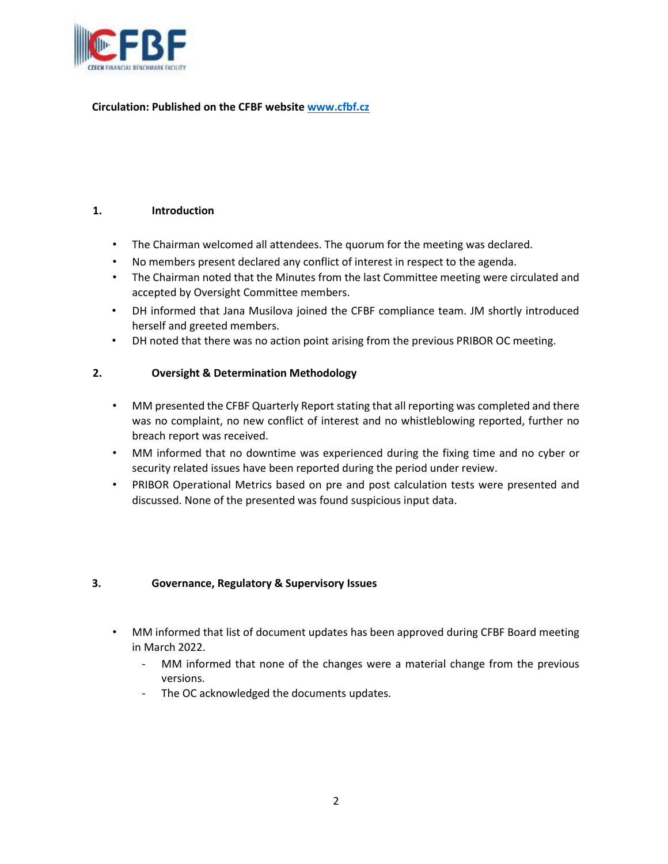

# **Circulation: Published on the CFBF websit[e www.cfbf.cz](http://www.cfbf.cz/)**

#### **1. Introduction**

- The Chairman welcomed all attendees. The quorum for the meeting was declared.
- No members present declared any conflict of interest in respect to the agenda.
- The Chairman noted that the Minutes from the last Committee meeting were circulated and accepted by Oversight Committee members.
- DH informed that Jana Musilova joined the CFBF compliance team. JM shortly introduced herself and greeted members.
- DH noted that there was no action point arising from the previous PRIBOR OC meeting.

# **2. Oversight & Determination Methodology**

- MM presented the CFBF Quarterly Report stating that all reporting was completed and there was no complaint, no new conflict of interest and no whistleblowing reported, further no breach report was received.
- MM informed that no downtime was experienced during the fixing time and no cyber or security related issues have been reported during the period under review.
- PRIBOR Operational Metrics based on pre and post calculation tests were presented and discussed. None of the presented was found suspicious input data.

#### **3. Governance, Regulatory & Supervisory Issues**

- MM informed that list of document updates has been approved during CFBF Board meeting in March 2022.
	- MM informed that none of the changes were a material change from the previous versions.
	- The OC acknowledged the documents updates.